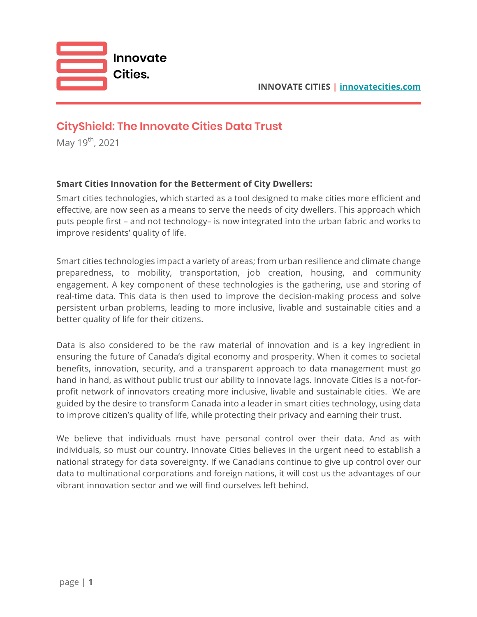

# **CityShield: The Innovate Cities Data Trust**

May 19<sup>th</sup>, 2021

## **Smart Cities Innovation for the Betterment of City Dwellers:**

Smart cities technologies, which started as a tool designed to make cities more efficient and effective, are now seen as a means to serve the needs of city dwellers. This approach which puts people first – and not technology– is now integrated into the urban fabric and works to improve residents' quality of life.

Smart cities technologies impact a variety of areas; from urban resilience and climate change preparedness, to mobility, transportation, job creation, housing, and community engagement. A key component of these technologies is the gathering, use and storing of real-time data. This data is then used to improve the decision-making process and solve persistent urban problems, leading to more inclusive, livable and sustainable cities and a better quality of life for their citizens.

Data is also considered to be the raw material of innovation and is a key ingredient in ensuring the future of Canada's digital economy and prosperity. When it comes to societal benefits, innovation, security, and a transparent approach to data management must go hand in hand, as without public trust our ability to innovate lags. Innovate Cities is a not-forprofit network of innovators creating more inclusive, livable and sustainable cities. We are guided by the desire to transform Canada into a leader in smart cities technology, using data to improve citizen's quality of life, while protecting their privacy and earning their trust.

We believe that individuals must have personal control over their data. And as with individuals, so must our country. Innovate Cities believes in the urgent need to establish a national strategy for data sovereignty. If we Canadians continue to give up control over our data to multinational corporations and foreign nations, it will cost us the advantages of our vibrant innovation sector and we will find ourselves left behind.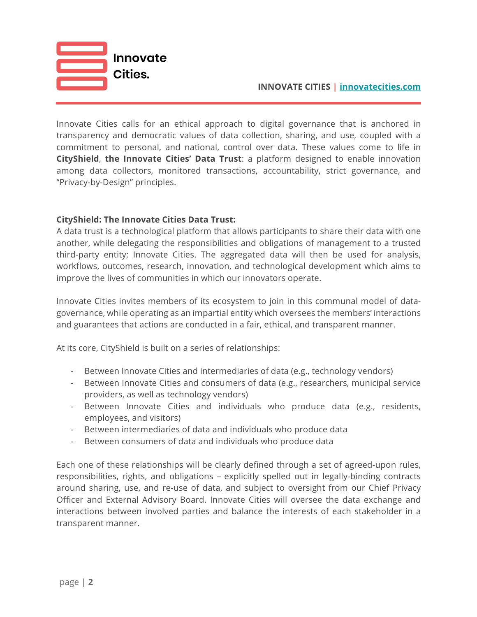

#### **INNOVATE CITIES | innovatecities.com**

Innovate Cities calls for an ethical approach to digital governance that is anchored in transparency and democratic values of data collection, sharing, and use, coupled with a commitment to personal, and national, control over data. These values come to life in **CityShield**, **the Innovate Cities' Data Trust**: a platform designed to enable innovation among data collectors, monitored transactions, accountability, strict governance, and "Privacy-by-Design" principles.

#### **CityShield: The Innovate Cities Data Trust:**

A data trust is a technological platform that allows participants to share their data with one another, while delegating the responsibilities and obligations of management to a trusted third-party entity; Innovate Cities. The aggregated data will then be used for analysis, workflows, outcomes, research, innovation, and technological development which aims to improve the lives of communities in which our innovators operate.

Innovate Cities invites members of its ecosystem to join in this communal model of datagovernance, while operating as an impartial entity which oversees the members' interactions and guarantees that actions are conducted in a fair, ethical, and transparent manner.

At its core, CityShield is built on a series of relationships:

- Between Innovate Cities and intermediaries of data (e.g., technology vendors)
- Between Innovate Cities and consumers of data (e.g., researchers, municipal service providers, as well as technology vendors)
- Between Innovate Cities and individuals who produce data (e.g., residents, employees, and visitors)
- Between intermediaries of data and individuals who produce data
- Between consumers of data and individuals who produce data

Each one of these relationships will be clearly defined through a set of agreed-upon rules, responsibilities, rights, and obligations – explicitly spelled out in legally-binding contracts around sharing, use, and re-use of data, and subject to oversight from our Chief Privacy Officer and External Advisory Board. Innovate Cities will oversee the data exchange and interactions between involved parties and balance the interests of each stakeholder in a transparent manner.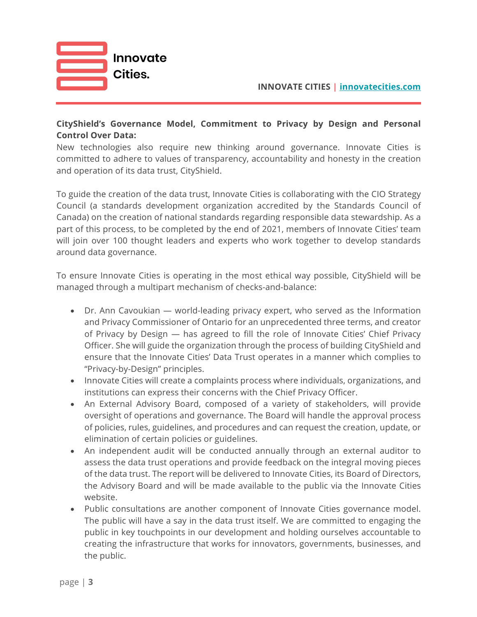

**INNOVATE CITIES | innovatecities.com**

# **CityShield's Governance Model, Commitment to Privacy by Design and Personal Control Over Data:**

New technologies also require new thinking around governance. Innovate Cities is committed to adhere to values of transparency, accountability and honesty in the creation and operation of its data trust, CityShield.

To guide the creation of the data trust, Innovate Cities is collaborating with the CIO Strategy Council (a standards development organization accredited by the Standards Council of Canada) on the creation of national standards regarding responsible data stewardship. As a part of this process, to be completed by the end of 2021, members of Innovate Cities' team will join over 100 thought leaders and experts who work together to develop standards around data governance.

To ensure Innovate Cities is operating in the most ethical way possible, CityShield will be managed through a multipart mechanism of checks-and-balance:

- Dr. Ann Cavoukian world-leading privacy expert, who served as the Information and Privacy Commissioner of Ontario for an unprecedented three terms, and creator of Privacy by Design — has agreed to fill the role of Innovate Cities' Chief Privacy Officer. She will guide the organization through the process of building CityShield and ensure that the Innovate Cities' Data Trust operates in a manner which complies to "Privacy-by-Design" principles.
- Innovate Cities will create a complaints process where individuals, organizations, and institutions can express their concerns with the Chief Privacy Officer.
- An External Advisory Board, composed of a variety of stakeholders, will provide oversight of operations and governance. The Board will handle the approval process of policies, rules, guidelines, and procedures and can request the creation, update, or elimination of certain policies or guidelines.
- An independent audit will be conducted annually through an external auditor to assess the data trust operations and provide feedback on the integral moving pieces of the data trust. The report will be delivered to Innovate Cities, its Board of Directors, the Advisory Board and will be made available to the public via the Innovate Cities website.
- Public consultations are another component of Innovate Cities governance model. The public will have a say in the data trust itself. We are committed to engaging the public in key touchpoints in our development and holding ourselves accountable to creating the infrastructure that works for innovators, governments, businesses, and the public.